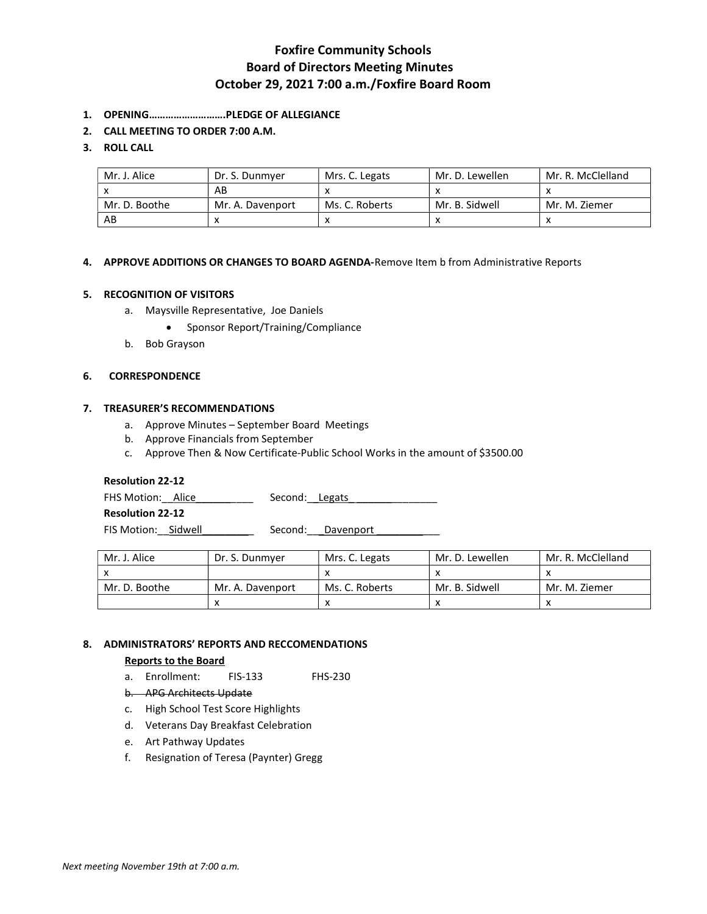# Foxfire Community Schools Board of Directors Meeting Minutes October 29, 2021 7:00 a.m./Foxfire Board Room

- 1. OPENING……………………….PLEDGE OF ALLEGIANCE
- 2. CALL MEETING TO ORDER 7:00 A.M.

# 3. ROLL CALL

| Mr. J. Alice  | Dr. S. Dunmyer   | Mrs. C. Legats | Mr. D. Lewellen | Mr. R. McClelland |
|---------------|------------------|----------------|-----------------|-------------------|
|               | AB               |                |                 |                   |
| Mr. D. Boothe | Mr. A. Davenport | Ms. C. Roberts | Mr. B. Sidwell  | Mr. M. Ziemer     |
| AB            |                  |                |                 |                   |

## 4. APPROVE ADDITIONS OR CHANGES TO BOARD AGENDA-Remove Item b from Administrative Reports

## 5. RECOGNITION OF VISITORS

- a. Maysville Representative, Joe Daniels
	- Sponsor Report/Training/Compliance
- b. Bob Grayson

#### 6. CORRESPONDENCE

## 7. TREASURER'S RECOMMENDATIONS

- a. Approve Minutes September Board Meetings
- b. Approve Financials from September
- c. Approve Then & Now Certificate-Public School Works in the amount of \$3500.00

### Resolution 22-12

| FHS Motion: Alice | Second: Legats |  |
|-------------------|----------------|--|
|                   |                |  |

Resolution 22-12

FIS Motion: Sidwell Second: Davenport

| Mr. J. Alice  | Dr. S. Dunmyer   | Mrs. C. Legats | Mr. D. Lewellen | Mr. R. McClelland |
|---------------|------------------|----------------|-----------------|-------------------|
|               |                  |                |                 |                   |
| Mr. D. Boothe | Mr. A. Davenport | Ms. C. Roberts | Mr. B. Sidwell  | Mr. M. Ziemer     |
|               |                  |                |                 |                   |

# 8. ADMINISTRATORS' REPORTS AND RECCOMENDATIONS

#### Reports to the Board

- a. Enrollment: FIS-133 FHS-230
- b. APG Architects Update
- c. High School Test Score Highlights
- d. Veterans Day Breakfast Celebration
- e. Art Pathway Updates
- f. Resignation of Teresa (Paynter) Gregg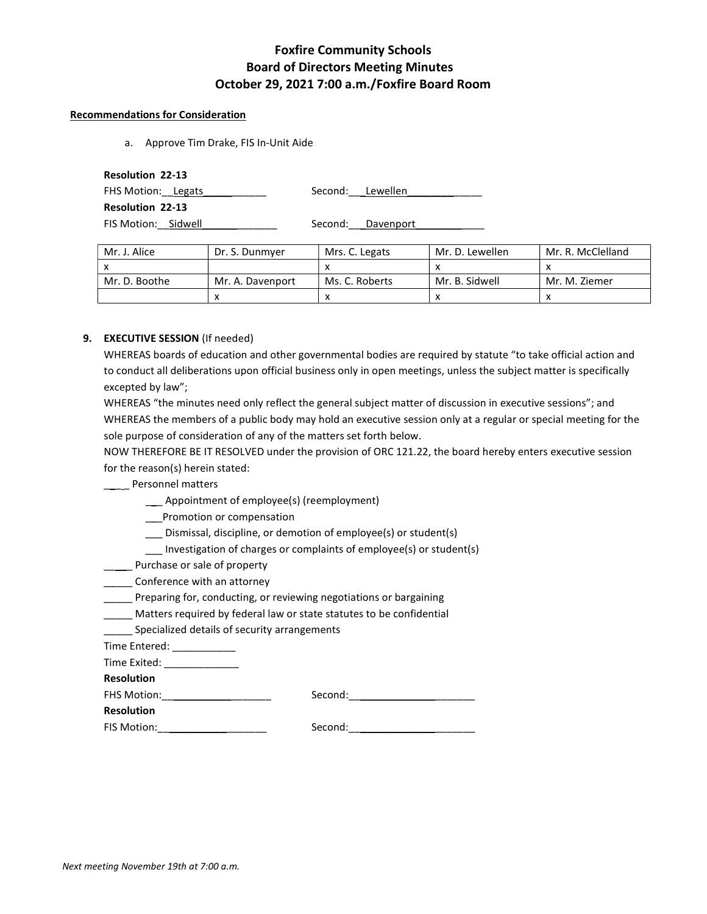# Foxfire Community Schools Board of Directors Meeting Minutes October 29, 2021 7:00 a.m./Foxfire Board Room

### Recommendations for Consideration

a. Approve Tim Drake, FIS In-Unit Aide

| <b>Resolution 22-13</b> |                  |                   |
|-------------------------|------------------|-------------------|
| FHS Motion: Legats      | Second: Lewellen |                   |
| <b>Resolution 22-13</b> |                  |                   |
| FIS Motion: Sidwell     |                  | Second: Davenport |

| Mr. J. Alice  | Dr. S. Dunmver   | Mrs. C. Legats | Mr. D. Lewellen | Mr. R. McClelland |
|---------------|------------------|----------------|-----------------|-------------------|
|               |                  |                |                 |                   |
| Mr. D. Boothe | Mr. A. Davenport | Ms. C. Roberts | Mr. B. Sidwell  | Mr. M. Ziemer     |
|               |                  |                |                 |                   |

# 9. EXECUTIVE SESSION (If needed)

WHEREAS boards of education and other governmental bodies are required by statute "to take official action and to conduct all deliberations upon official business only in open meetings, unless the subject matter is specifically excepted by law";

WHEREAS "the minutes need only reflect the general subject matter of discussion in executive sessions"; and WHEREAS the members of a public body may hold an executive session only at a regular or special meeting for the sole purpose of consideration of any of the matters set forth below.

NOW THEREFORE BE IT RESOLVED under the provision of ORC 121.22, the board hereby enters executive session for the reason(s) herein stated:

# \_\_ \_\_ Personnel matters

- \_\_\_ Appointment of employee(s) (reemployment)
- \_\_\_Promotion or compensation
- \_\_\_ Dismissal, discipline, or demotion of employee(s) or student(s)
- \_\_\_ Investigation of charges or complaints of employee(s) or student(s)
- **\_\_\_\_** Purchase or sale of property
- \_\_\_\_\_ Conference with an attorney
- \_\_\_\_\_ Preparing for, conducting, or reviewing negotiations or bargaining
- \_\_\_\_\_ Matters required by federal law or state statutes to be confidential
- Specialized details of security arrangements

Time Entered: \_\_\_\_\_\_\_\_\_\_\_

Time Exited: \_\_\_\_\_\_\_\_\_\_\_\_\_\_\_

Resolution

FHS Motion:\_\_\_\_\_\_\_\_\_\_\_\_\_\_\_\_\_\_\_ Second:\_\_\_\_\_\_\_\_\_\_\_\_\_\_\_\_\_\_\_\_\_\_

| <b>Resolution</b> |  |
|-------------------|--|
|-------------------|--|

FIS Motion:\_\_\_\_\_\_\_\_\_\_\_\_\_\_\_\_\_\_\_ Second:\_\_\_\_\_\_\_\_\_\_\_\_\_\_\_\_\_\_\_\_\_\_